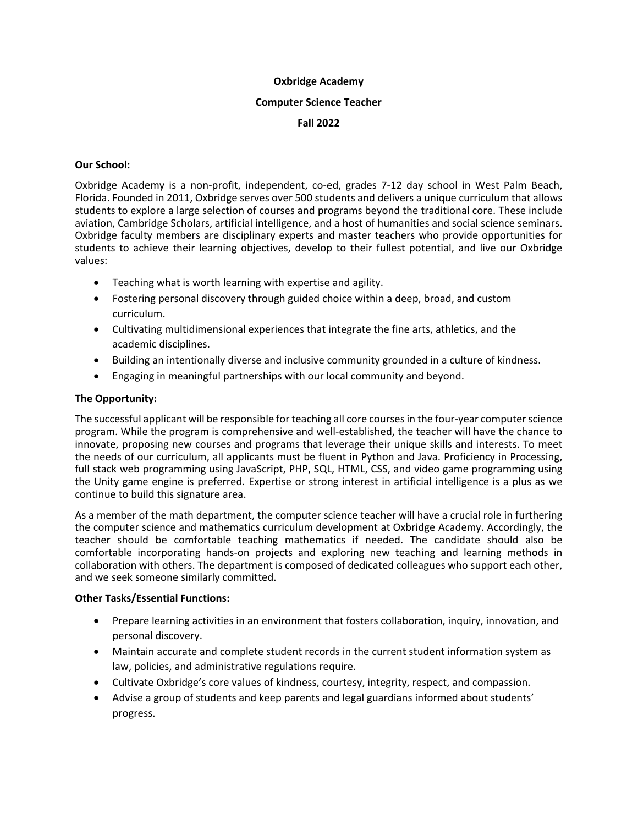## **Oxbridge Academy**

#### **Computer Science Teacher**

## **Fall 2022**

## **Our School:**

Oxbridge Academy is a non-profit, independent, co-ed, grades 7-12 day school in West Palm Beach, Florida. Founded in 2011, Oxbridge serves over 500 students and delivers a unique curriculum that allows students to explore a large selection of courses and programs beyond the traditional core. These include aviation, Cambridge Scholars, artificial intelligence, and a host of humanities and social science seminars. Oxbridge faculty members are disciplinary experts and master teachers who provide opportunities for students to achieve their learning objectives, develop to their fullest potential, and live our Oxbridge values:

- Teaching what is worth learning with expertise and agility.
- Fostering personal discovery through guided choice within a deep, broad, and custom curriculum.
- Cultivating multidimensional experiences that integrate the fine arts, athletics, and the academic disciplines.
- Building an intentionally diverse and inclusive community grounded in a culture of kindness.
- Engaging in meaningful partnerships with our local community and beyond.

## **The Opportunity:**

The successful applicant will be responsible for teaching all core courses in the four-year computer science program. While the program is comprehensive and well-established, the teacher will have the chance to innovate, proposing new courses and programs that leverage their unique skills and interests. To meet the needs of our curriculum, all applicants must be fluent in Python and Java. Proficiency in Processing, full stack web programming using JavaScript, PHP, SQL, HTML, CSS, and video game programming using the Unity game engine is preferred. Expertise or strong interest in artificial intelligence is a plus as we continue to build this signature area.

As a member of the math department, the computer science teacher will have a crucial role in furthering the computer science and mathematics curriculum development at Oxbridge Academy. Accordingly, the teacher should be comfortable teaching mathematics if needed. The candidate should also be comfortable incorporating hands-on projects and exploring new teaching and learning methods in collaboration with others. The department is composed of dedicated colleagues who support each other, and we seek someone similarly committed.

#### **Other Tasks/Essential Functions:**

- Prepare learning activities in an environment that fosters collaboration, inquiry, innovation, and personal discovery.
- Maintain accurate and complete student records in the current student information system as law, policies, and administrative regulations require.
- Cultivate Oxbridge's core values of kindness, courtesy, integrity, respect, and compassion.
- Advise a group of students and keep parents and legal guardians informed about students' progress.